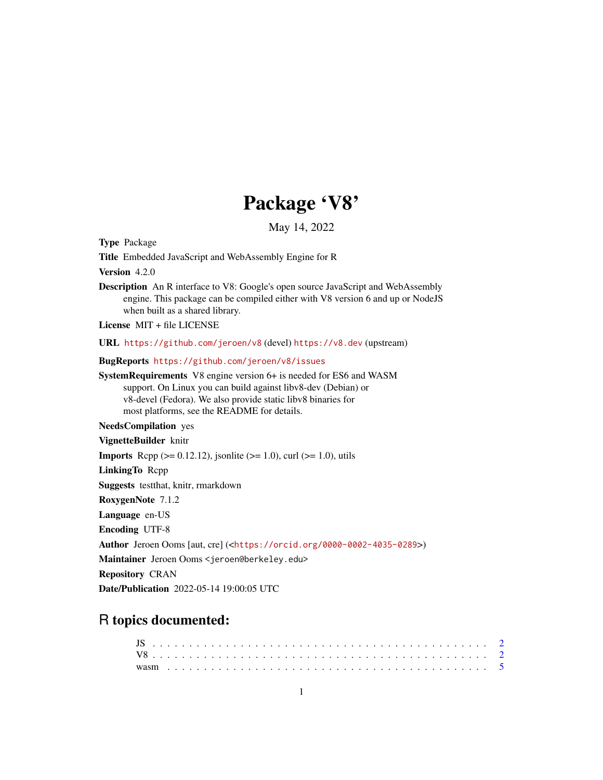## Package 'V8'

May 14, 2022

<span id="page-0-0"></span>Type Package

Title Embedded JavaScript and WebAssembly Engine for R

Version 4.2.0

Description An R interface to V8: Google's open source JavaScript and WebAssembly engine. This package can be compiled either with V8 version 6 and up or NodeJS when built as a shared library.

License MIT + file LICENSE

URL <https://github.com/jeroen/v8> (devel) <https://v8.dev> (upstream)

BugReports <https://github.com/jeroen/v8/issues>

SystemRequirements V8 engine version 6+ is needed for ES6 and WASM support. On Linux you can build against libv8-dev (Debian) or v8-devel (Fedora). We also provide static libv8 binaries for most platforms, see the README for details.

NeedsCompilation yes

VignetteBuilder knitr

**Imports** Rcpp ( $>= 0.12.12$ ), jsonlite ( $>= 1.0$ ), curl ( $>= 1.0$ ), utils

LinkingTo Rcpp

Suggests testthat, knitr, rmarkdown

RoxygenNote 7.1.2

Language en-US

Encoding UTF-8

Author Jeroen Ooms [aut, cre] (<<https://orcid.org/0000-0002-4035-0289>>)

Maintainer Jeroen Ooms <jeroen@berkeley.edu>

Repository CRAN

Date/Publication 2022-05-14 19:00:05 UTC

### R topics documented: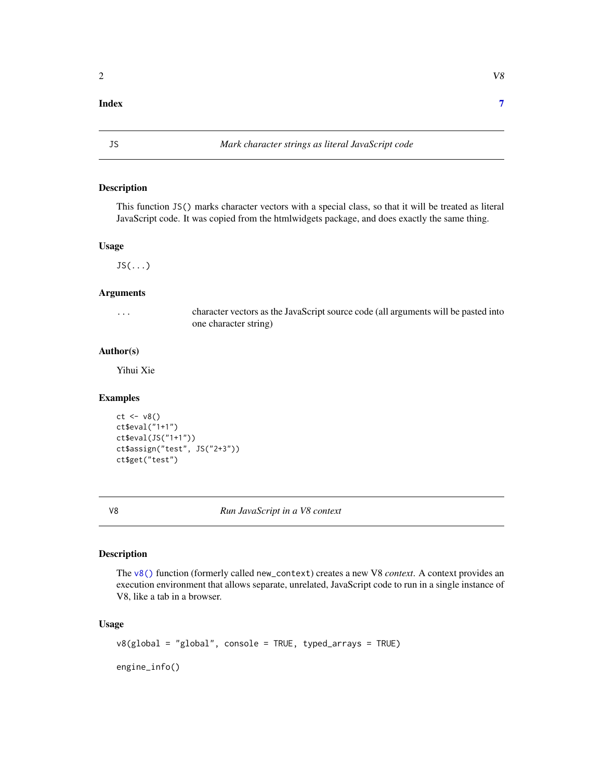#### <span id="page-1-0"></span>**Index** [7](#page-6-0) **7**

#### Description

This function JS() marks character vectors with a special class, so that it will be treated as literal JavaScript code. It was copied from the htmlwidgets package, and does exactly the same thing.

#### Usage

 $JS($ ... $)$ 

#### Arguments

... character vectors as the JavaScript source code (all arguments will be pasted into one character string)

#### Author(s)

Yihui Xie

#### Examples

```
ct <- v8()
ct$eval("1+1")
ct$eval(JS("1+1"))
ct$assign("test", JS("2+3"))
ct$get("test")
```
V8 *Run JavaScript in a V8 context*

#### <span id="page-1-1"></span>Description

The [v8\(\)](#page-1-1) function (formerly called new\_context) creates a new V8 *context*. A context provides an execution environment that allows separate, unrelated, JavaScript code to run in a single instance of V8, like a tab in a browser.

#### Usage

```
v8(global = "global", console = TRUE, typed_arrays = TRUE)
```
engine\_info()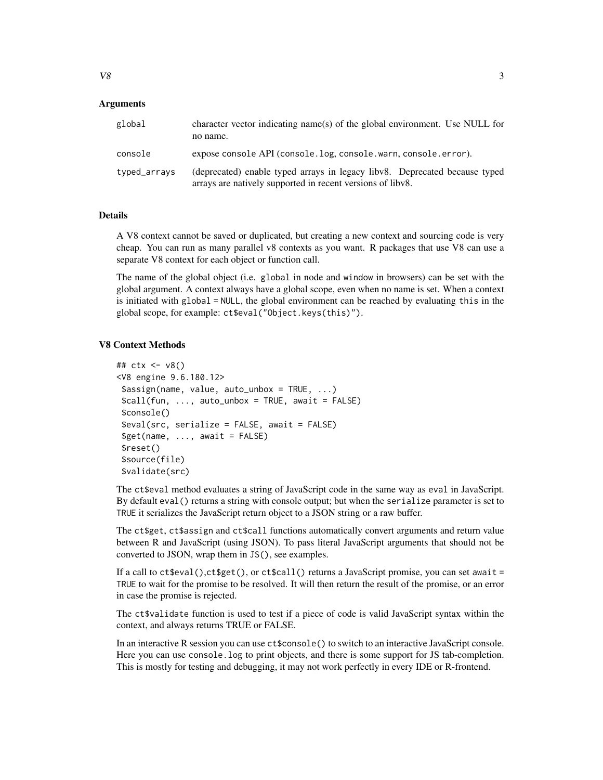| global       | character vector indicating name(s) of the global environment. Use NULL for<br>no name.                                                  |
|--------------|------------------------------------------------------------------------------------------------------------------------------------------|
| console      | expose console API (console.log, console.warn, console.error).                                                                           |
| typed_arrays | (deprecated) enable typed arrays in legacy libv8. Deprecated because typed<br>arrays are natively supported in recent versions of libv8. |

#### Details

A V8 context cannot be saved or duplicated, but creating a new context and sourcing code is very cheap. You can run as many parallel v8 contexts as you want. R packages that use V8 can use a separate V8 context for each object or function call.

The name of the global object (i.e. global in node and window in browsers) can be set with the global argument. A context always have a global scope, even when no name is set. When a context is initiated with global = NULL, the global environment can be reached by evaluating this in the global scope, for example: ct\$eval("Object.keys(this)").

#### V8 Context Methods

```
## ctx <- v8()
<V8 engine 9.6.180.12>
$assign(name, value, auto_unbox = TRUE, ...)
\text{Scall}(fun, ..., auto\_unbox = TRUE, await = FALSE)$console()
$eval(src, serialize = FALSE, await = FALSE)
$get(name, ..., await = FALSE)$reset()
$source(file)
$validate(src)
```
The ct\$eval method evaluates a string of JavaScript code in the same way as eval in JavaScript. By default eval() returns a string with console output; but when the serialize parameter is set to TRUE it serializes the JavaScript return object to a JSON string or a raw buffer.

The ct\$get, ct\$assign and ct\$call functions automatically convert arguments and return value between R and JavaScript (using JSON). To pass literal JavaScript arguments that should not be converted to JSON, wrap them in JS(), see examples.

If a call to ct\$eval(),ct\$get(), or ct\$call() returns a JavaScript promise, you can set await = TRUE to wait for the promise to be resolved. It will then return the result of the promise, or an error in case the promise is rejected.

The ct\$validate function is used to test if a piece of code is valid JavaScript syntax within the context, and always returns TRUE or FALSE.

In an interactive R session you can use ct\$console() to switch to an interactive JavaScript console. Here you can use console.log to print objects, and there is some support for JS tab-completion. This is mostly for testing and debugging, it may not work perfectly in every IDE or R-frontend.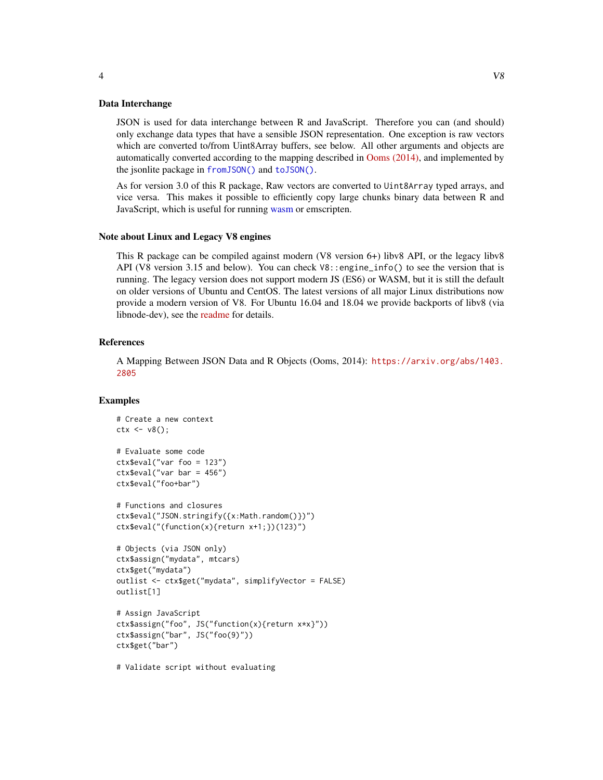#### <span id="page-3-0"></span>Data Interchange

JSON is used for data interchange between R and JavaScript. Therefore you can (and should) only exchange data types that have a sensible JSON representation. One exception is raw vectors which are converted to/from Uint8Array buffers, see below. All other arguments and objects are automatically converted according to the mapping described in [Ooms \(2014\),](https://arxiv.org/abs/1403.2805) and implemented by the jsonlite package in [fromJSON\(\)](#page-0-0) and [toJSON\(\)](#page-0-0).

As for version 3.0 of this R package, Raw vectors are converted to Uint8Array typed arrays, and vice versa. This makes it possible to efficiently copy large chunks binary data between R and JavaScript, which is useful for running [wasm](#page-4-1) or emscripten.

#### Note about Linux and Legacy V8 engines

This R package can be compiled against modern (V8 version 6+) libv8 API, or the legacy libv8 API (V8 version 3.15 and below). You can check  $\sqrt{8}$ : engine\_info() to see the version that is running. The legacy version does not support modern JS (ES6) or WASM, but it is still the default on older versions of Ubuntu and CentOS. The latest versions of all major Linux distributions now provide a modern version of V8. For Ubuntu 16.04 and 18.04 we provide backports of libv8 (via libnode-dev), see the [readme](https://github.com/jeroen/v8#backports-for-xenial-and-bionic) for details.

#### References

A Mapping Between JSON Data and R Objects (Ooms, 2014): [https://arxiv.org/abs/1403.](https://arxiv.org/abs/1403.2805) [2805](https://arxiv.org/abs/1403.2805)

#### Examples

```
# Create a new context
ctx <- v8();
# Evaluate some code
ctx$eval("var foo = 123")
ctx$eval("var bar = 456")
ctx$eval("foo+bar")
# Functions and closures
ctx$eval("JSON.stringify({x:Math.random()})")
ctx$eval("(function(x){return x+1;})(123)")
# Objects (via JSON only)
ctx$assign("mydata", mtcars)
ctx$get("mydata")
outlist <- ctx$get("mydata", simplifyVector = FALSE)
outlist[1]
# Assign JavaScript
ctx$assign("foo", JS("function(x){return x*x}"))
ctx$assign("bar", JS("foo(9)"))
ctx$get("bar")
```
# Validate script without evaluating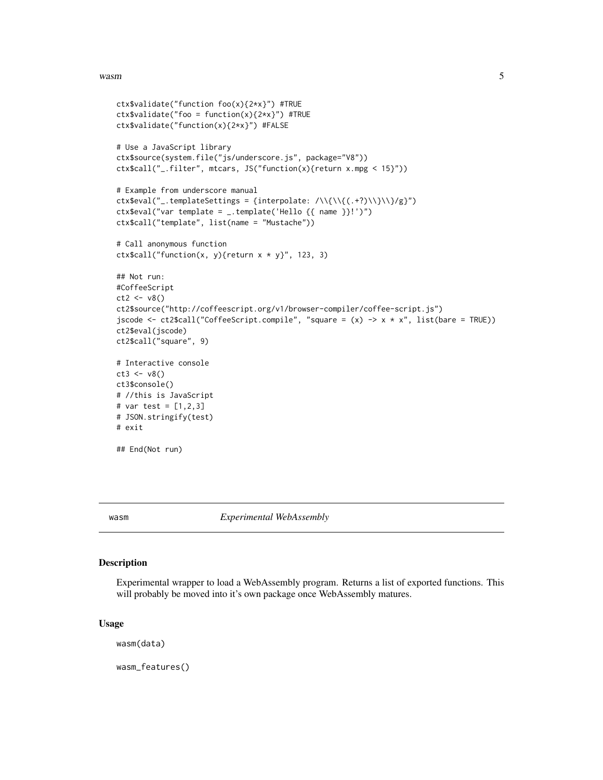#### <span id="page-4-0"></span>wasm 5

```
ctx$validate("function foo(x){2*x}") #TRUE
ctx$validate("foo = function(x){2*x}") #TRUE
ctx$validate("function(x){2*x}") #FALSE
# Use a JavaScript library
ctx$source(system.file("js/underscore.js", package="V8"))
ctx$call("_.filter", mtcars, JS("function(x){return x.mpg < 15}"))
# Example from underscore manual
ctx$eval("_.templateSettings = {interpolate: /\\{\\{(.+?)\\}\\}/g}")
ctx$eval("var template = _.template('Hello {{ name }}!')")
ctx$call("template", list(name = "Mustache"))
# Call anonymous function
ctx scall("function(x, y){return x * y}", 123, 3)
## Not run:
#CoffeeScript
ct2 < -v8()ct2$source("http://coffeescript.org/v1/browser-compiler/coffee-script.js")
jscode <- ct2$call("CoffeeScript.compile", "square = (x) -> x * x", list(bare = TRUE))
ct2$eval(jscode)
ct2$call("square", 9)
# Interactive console
ct3 < -v8()ct3$console()
# //this is JavaScript
# var test = [1,2,3]
# JSON.stringify(test)
# exit
## End(Not run)
```
<span id="page-4-1"></span>

wasm *Experimental WebAssembly*

#### **Description**

Experimental wrapper to load a WebAssembly program. Returns a list of exported functions. This will probably be moved into it's own package once WebAssembly matures.

#### Usage

wasm(data)

wasm\_features()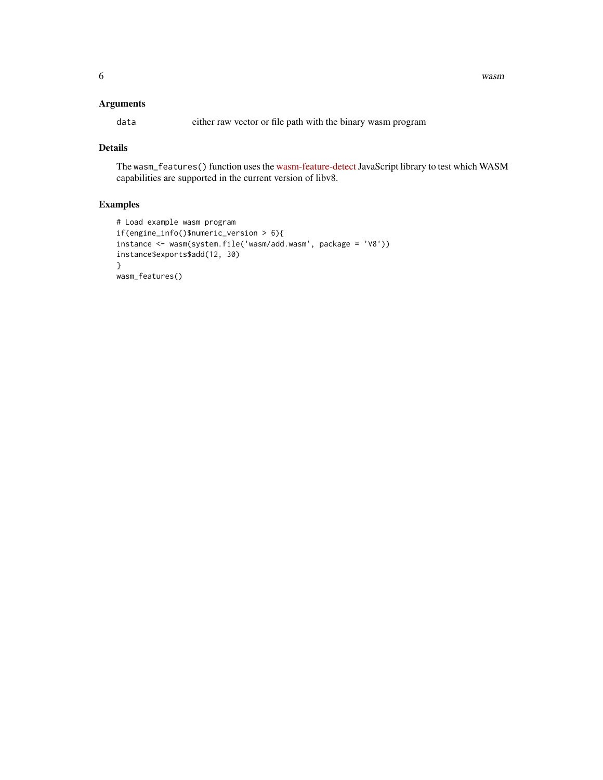#### Arguments

data either raw vector or file path with the binary wasm program

#### Details

The wasm\_features() function uses the [wasm-feature-detect](https://github.com/GoogleChromeLabs/wasm-feature-detect)JavaScript library to test which WASM capabilities are supported in the current version of libv8.

#### Examples

```
# Load example wasm program
if(engine_info()$numeric_version > 6){
instance <- wasm(system.file('wasm/add.wasm', package = 'V8'))
instance$exports$add(12, 30)
}
wasm_features()
```